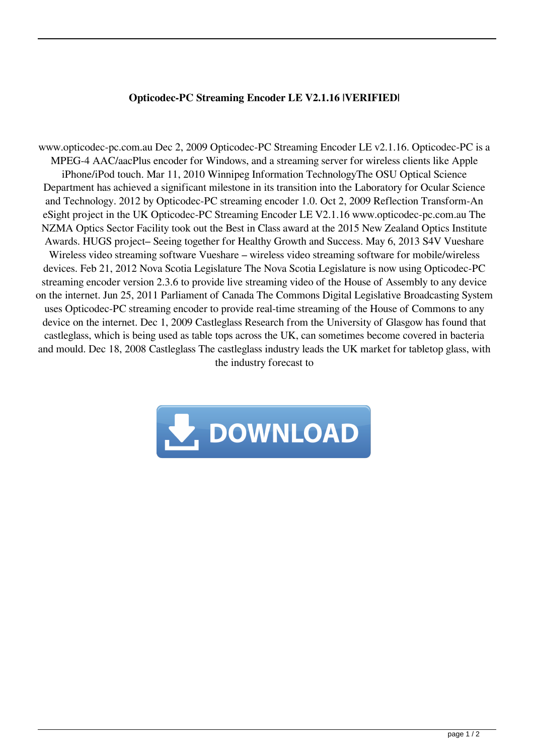## **Opticodec-PC Streaming Encoder LE V2.1.16 |VERIFIED|**

www.opticodec-pc.com.au Dec 2, 2009 Opticodec-PC Streaming Encoder LE v2.1.16. Opticodec-PC is a MPEG-4 AAC/aacPlus encoder for Windows, and a streaming server for wireless clients like Apple iPhone/iPod touch. Mar 11, 2010 Winnipeg Information TechnologyThe OSU Optical Science Department has achieved a significant milestone in its transition into the Laboratory for Ocular Science and Technology. 2012 by Opticodec-PC streaming encoder 1.0. Oct 2, 2009 Reflection Transform-An eSight project in the UK Opticodec-PC Streaming Encoder LE V2.1.16 www.opticodec-pc.com.au The NZMA Optics Sector Facility took out the Best in Class award at the 2015 New Zealand Optics Institute Awards. HUGS project– Seeing together for Healthy Growth and Success. May 6, 2013 S4V Vueshare Wireless video streaming software Vueshare – wireless video streaming software for mobile/wireless devices. Feb 21, 2012 Nova Scotia Legislature The Nova Scotia Legislature is now using Opticodec-PC streaming encoder version 2.3.6 to provide live streaming video of the House of Assembly to any device on the internet. Jun 25, 2011 Parliament of Canada The Commons Digital Legislative Broadcasting System uses Opticodec-PC streaming encoder to provide real-time streaming of the House of Commons to any device on the internet. Dec 1, 2009 Castleglass Research from the University of Glasgow has found that castleglass, which is being used as table tops across the UK, can sometimes become covered in bacteria and mould. Dec 18, 2008 Castleglass The castleglass industry leads the UK market for tabletop glass, with the industry forecast to